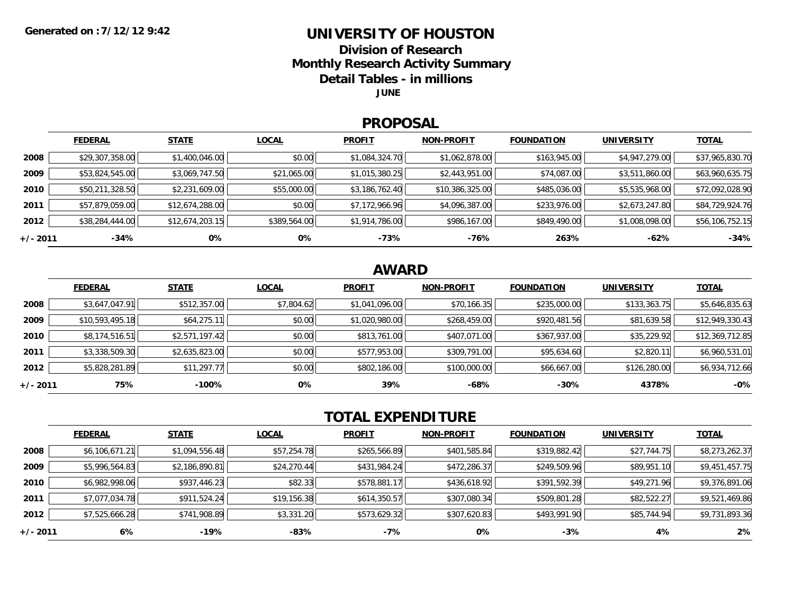## **UNIVERSITY OF HOUSTON**

**Division of Research**

**Monthly Research Activity Summary**

**Detail Tables - in millions**

**JUNE**

#### **PROPOSAL**

|            | <b>FEDERAL</b>  | <b>STATE</b>    | <b>LOCAL</b> | <b>PROFIT</b>  | <b>NON-PROFIT</b> | <b>FOUNDATION</b> | <b>UNIVERSITY</b> | <b>TOTAL</b>    |
|------------|-----------------|-----------------|--------------|----------------|-------------------|-------------------|-------------------|-----------------|
| 2008       | \$29,307,358.00 | \$1,400,046.00  | \$0.00       | \$1,084,324.70 | \$1,062,878.00    | \$163,945.00      | \$4,947,279.00    | \$37,965,830.70 |
| 2009       | \$53,824,545.00 | \$3,069,747.50  | \$21,065.00  | \$1,015,380.25 | \$2,443,951.00    | \$74,087.00       | \$3,511,860.00    | \$63,960,635.75 |
| 2010       | \$50,211,328.50 | \$2,231,609.00  | \$55,000.00  | \$3,186,762.40 | \$10,386,325.00   | \$485,036.00      | \$5,535,968.00    | \$72,092,028.90 |
| 2011       | \$57,879,059.00 | \$12,674,288.00 | \$0.00       | \$7,172,966.96 | \$4,096,387.00    | \$233,976.00      | \$2,673,247.80    | \$84,729,924.76 |
| 2012       | \$38,284,444.00 | \$12,674,203.15 | \$389,564.00 | \$1,914,786.00 | \$986,167.00      | \$849,490.00      | \$1,008,098.00    | \$56,106,752.15 |
| $+/- 2011$ | $-34%$          | 0%              | 0%           | -73%           | -76%              | 263%              | -62%              | $-34%$          |

## **AWARD**

|          | <b>FEDERAL</b>  | <b>STATE</b>   | <b>LOCAL</b> | <b>PROFIT</b>  | <b>NON-PROFIT</b> | <b>FOUNDATION</b> | <b>UNIVERSITY</b> | <b>TOTAL</b>    |
|----------|-----------------|----------------|--------------|----------------|-------------------|-------------------|-------------------|-----------------|
| 2008     | \$3,647,047.91  | \$512,357.00   | \$7,804.62   | \$1,041,096.00 | \$70,166.35       | \$235,000.00      | \$133,363.75      | \$5,646,835.63  |
| 2009     | \$10,593,495.18 | \$64,275.11    | \$0.00       | \$1,020,980.00 | \$268,459.00      | \$920,481.56      | \$81,639.58       | \$12,949,330.43 |
| 2010     | \$8,174,516.51  | \$2,571,197.42 | \$0.00       | \$813,761.00   | \$407,071.00      | \$367,937.00      | \$35,229.92       | \$12,369,712.85 |
| 2011     | \$3,338,509.30  | \$2,635,823.00 | \$0.00       | \$577,953.00   | \$309,791.00      | \$95,634.60       | \$2,820.11        | \$6,960,531.01  |
| 2012     | \$5,828,281.89  | \$11,297.77    | \$0.00       | \$802,186.00   | \$100,000.00      | \$66,667.00       | \$126,280.00      | \$6,934,712.66  |
| +/- 2011 | 75%             | $-100%$        | 0%           | 39%            | -68%              | $-30%$            | 4378%             | $-0%$           |

# **TOTAL EXPENDITURE**

|          | <b>FEDERAL</b> | <b>STATE</b>   | <b>LOCAL</b> | <b>PROFIT</b> | <b>NON-PROFIT</b> | <b>FOUNDATION</b> | <b>UNIVERSITY</b> | <b>TOTAL</b>   |
|----------|----------------|----------------|--------------|---------------|-------------------|-------------------|-------------------|----------------|
| 2008     | \$6,106,671.21 | \$1,094,556.48 | \$57,254.78  | \$265,566.89  | \$401,585.84      | \$319,882.42      | \$27,744.75       | \$8,273,262.37 |
| 2009     | \$5,996,564.83 | \$2,186,890.81 | \$24,270.44  | \$431,984.24  | \$472,286.37      | \$249,509.96      | \$89,951.10       | \$9,451,457.75 |
| 2010     | \$6,982,998.06 | \$937,446.23   | \$82.33      | \$578,881.17  | \$436,618.92      | \$391,592.39      | \$49,271.96       | \$9,376,891.06 |
| 2011     | \$7,077,034.78 | \$911,524.24   | \$19,156.38  | \$614,350.57  | \$307,080.34      | \$509,801.28      | \$82,522.27       | \$9,521,469.86 |
| 2012     | \$7,525,666.28 | \$741,908.89   | \$3,331.20   | \$573,629.32  | \$307,620.83      | \$493,991.90      | \$85,744.94       | \$9,731,893.36 |
| +/- 2011 | 6%             | -19%           | -83%         | $-7%$         | 0%                | $-3%$             | 4%                | 2%             |